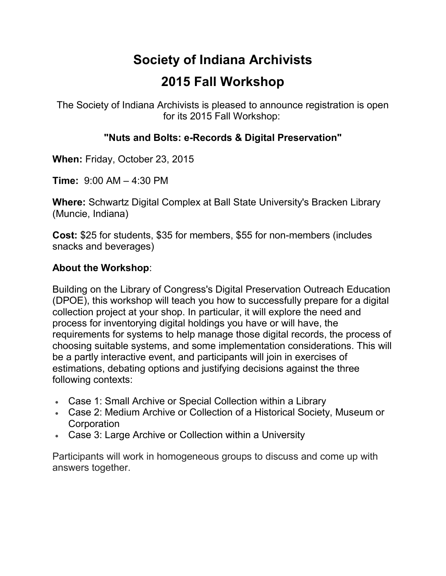## **Society of Indiana Archivists 2015 Fall Workshop**

The Society of Indiana Archivists is pleased to announce registration is open for its 2015 Fall Workshop:

## **"Nuts and Bolts: e-Records & Digital Preservation"**

**When:** Friday, October 23, 2015

**Time:** 9:00 AM – 4:30 PM

**Where:** Schwartz Digital Complex at Ball State University's Bracken Library (Muncie, Indiana)

**Cost:** \$25 for students, \$35 for members, \$55 for non-members (includes snacks and beverages)

## **About the Workshop**:

Building on the Library of Congress's Digital Preservation Outreach Education (DPOE), this workshop will teach you how to successfully prepare for a digital collection project at your shop. In particular, it will explore the need and process for inventorying digital holdings you have or will have, the requirements for systems to help manage those digital records, the process of choosing suitable systems, and some implementation considerations. This will be a partly interactive event, and participants will join in exercises of estimations, debating options and justifying decisions against the three following contexts:

- Case 1: Small Archive or Special Collection within a Library
- Case 2: Medium Archive or Collection of a Historical Society, Museum or **Corporation**
- Case 3: Large Archive or Collection within a University

Participants will work in homogeneous groups to discuss and come up with answers together.